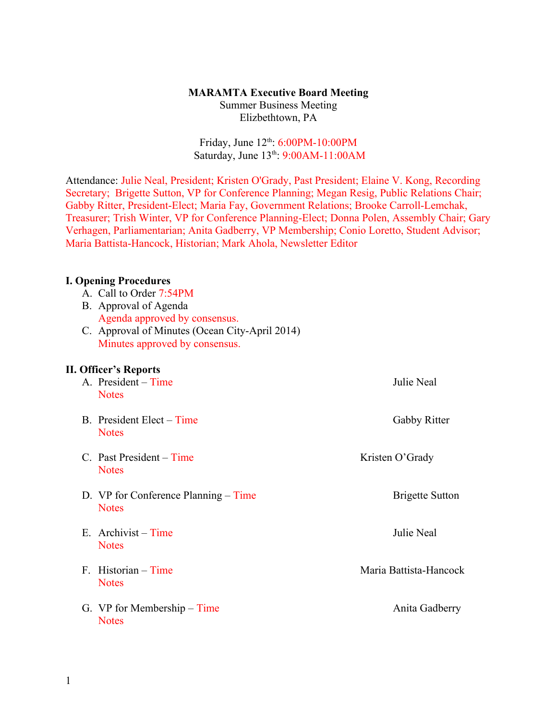## **MARAMTA Executive Board Meeting**

Summer Business Meeting Elizbethtown, PA

## Friday, June 12<sup>th</sup>: 6:00PM-10:00PM Saturday, June 13<sup>th</sup>: 9:00AM-11:00AM

Attendance: Julie Neal, President; Kristen O'Grady, Past President; Elaine V. Kong, Recording Secretary; Brigette Sutton, VP for Conference Planning; Megan Resig, Public Relations Chair; Gabby Ritter, President-Elect; Maria Fay, Government Relations; Brooke Carroll-Lemchak, Treasurer; Trish Winter, VP for Conference Planning-Elect; Donna Polen, Assembly Chair; Gary Verhagen, Parliamentarian; Anita Gadberry, VP Membership; Conio Loretto, Student Advisor; Maria Battista-Hancock, Historian; Mark Ahola, Newsletter Editor

## **I. Opening Procedures**

- A. Call to Order 7:54PM
- B. Approval of Agenda Agenda approved by consensus.
- C. Approval of Minutes (Ocean City-April 2014) Minutes approved by consensus.

## **II. Officer's Reports**

| A. President – Time<br><b>Notes</b>                  | Julie Neal             |
|------------------------------------------------------|------------------------|
| B. President Elect – Time<br><b>Notes</b>            | Gabby Ritter           |
| $C.$ Past President – Time<br><b>Notes</b>           | Kristen O'Grady        |
| D. VP for Conference Planning – Time<br><b>Notes</b> | <b>Brigette Sutton</b> |
| E. Archivist – Time<br><b>Notes</b>                  | Julie Neal             |
| $F.$ Historian – Time<br><b>Notes</b>                | Maria Battista-Hancock |
| G. VP for Membership – Time<br><b>Notes</b>          | Anita Gadberry         |